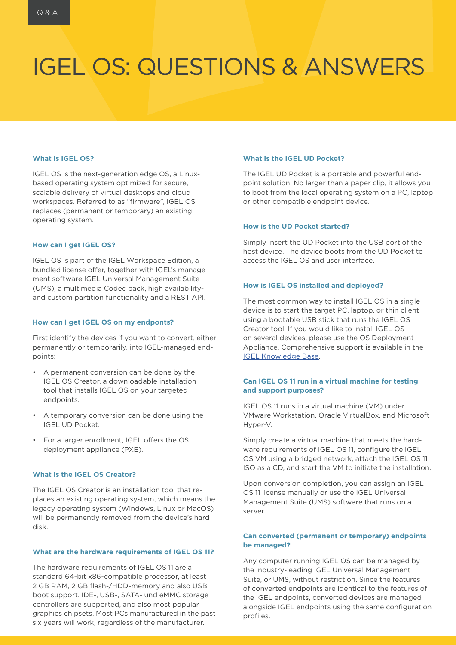# IGEL OS: QUESTIONS & ANSWERS

#### **What is IGEL OS?**

IGEL OS is the next-generation edge OS, a Linuxbased operating system optimized for secure, scalable delivery of virtual desktops and cloud workspaces. Referred to as "firmware", IGEL OS replaces (permanent or temporary) an existing operating system.

#### **How can I get IGEL OS?**

IGEL OS is part of the IGEL Workspace Edition, a bundled license offer, together with IGEL's management software IGEL Universal Management Suite (UMS), a multimedia Codec pack, high availabilityand custom partition functionality and a REST API.

# **How can I get IGEL OS on my endponts?**

First identify the devices if you want to convert, either permanently or temporarily, into IGEL-managed endpoints:

- A permanent conversion can be done by the IGEL OS Creator, a downloadable installation tool that installs IGEL OS on your targeted endpoints.
- A temporary conversion can be done using the IGEL UD Pocket.
- For a larger enrollment, IGEL offers the OS deployment appliance (PXE).

# **What is the IGEL OS Creator?**

The IGEL OS Creator is an installation tool that replaces an existing operating system, which means the legacy operating system (Windows, Linux or MacOS) will be permanently removed from the device's hard disk.

### **What are the hardware requirements of IGEL OS 11?**

The hardware requirements of IGEL OS 11 are a standard 64-bit x86-compatible processor, at least 2 GB RAM, 2 GB flash-/HDD-memory and also USB boot support. IDE-, USB-, SATA- und eMMC storage controllers are supported, and also most popular graphics chipsets. Most PCs manufactured in the past six years will work, regardless of the manufacturer.

### **What is the IGEL UD Pocket?**

The IGEL UD Pocket is a portable and powerful endpoint solution. No larger than a paper clip, it allows you to boot from the local operating system on a PC, laptop or other compatible endpoint device.

# **How is the UD Pocket started?**

Simply insert the UD Pocket into the USB port of the host device. The device boots from the UD Pocket to access the IGEL OS and user interface.

#### **How is IGEL OS installed and deployed?**

The most common way to install IGEL OS in a single device is to start the target PC, laptop, or thin client using a bootable USB stick that runs the IGEL OS Creator tool. If you would like to install IGEL OS on several devices, please use the OS Deployment Appliance. Comprehensive support is available in the IGEL Knowledge Base.

# **Can IGEL OS 11 run in a virtual machine for testing and support purposes?**

IGEL OS 11 runs in a virtual machine (VM) under VMware Workstation, Oracle VirtualBox, and Microsoft Hyper-V.

Simply create a virtual machine that meets the hardware requirements of IGEL OS 11, configure the IGEL OS VM using a bridged network, attach the IGEL OS 11 ISO as a CD, and start the VM to initiate the installation.

Upon conversion completion, you can assign an IGEL OS 11 license manually or use the IGEL Universal Management Suite (UMS) software that runs on a server.

### **Can converted (permanent or temporary) endpoints be managed?**

Any computer running IGEL OS can be managed by the industry-leading IGEL Universal Management Suite, or UMS, without restriction. Since the features of converted endpoints are identical to the features of the IGEL endpoints, converted devices are managed alongside IGEL endpoints using the same configuration profiles.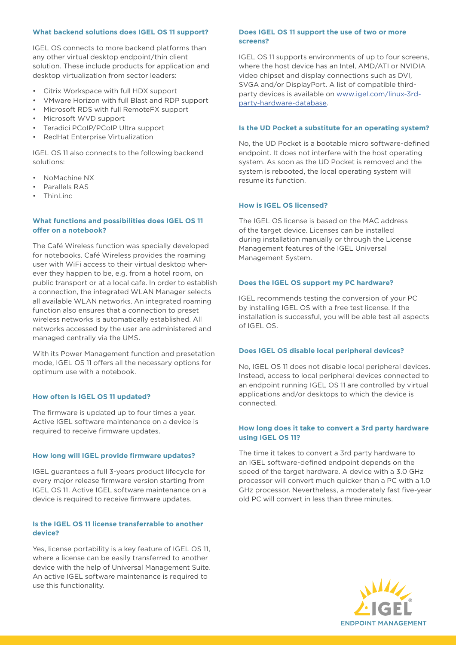# **What backend solutions does IGEL OS 11 support?**

IGEL OS connects to more backend platforms than any other virtual desktop endpoint/thin client solution. These include products for application and desktop virtualization from sector leaders:

- Citrix Workspace with full HDX support
- VMware Horizon with full Blast and RDP support
- Microsoft RDS with full RemoteFX support
- Microsoft WVD support
- Teradici PCoIP/PCoIP Ultra support
- RedHat Enterprise Virtualization

IGEL OS 11 also connects to the following backend solutions:

- NoMachine NX
- Parallels RAS
- ThinLinc

# **What functions and possibilities does IGEL OS 11 offer on a notebook?**

The Café Wireless function was specially developed for notebooks. Café Wireless provides the roaming user with WiFi access to their virtual desktop wherever they happen to be, e.g. from a hotel room, on public transport or at a local cafe. In order to establish a connection, the integrated WLAN Manager selects all available WLAN networks. An integrated roaming function also ensures that a connection to preset wireless networks is automatically established. All networks accessed by the user are administered and managed centrally via the UMS.

With its Power Management function and presetation mode, IGEL OS 11 offers all the necessary options for optimum use with a notebook.

# **How often is IGEL OS 11 updated?**

The firmware is updated up to four times a year. Active IGEL software maintenance on a device is required to receive firmware updates.

# **How long will IGEL provide firmware updates?**

IGEL guarantees a full 3-years product lifecycle for every major release firmware version starting from IGEL OS 11. Active IGEL software maintenance on a device is required to receive firmware updates.

# **Is the IGEL OS 11 license transferrable to another device?**

Yes, license portability is a key feature of IGEL OS 11, where a license can be easily transferred to another device with the help of Universal Management Suite. An active IGEL software maintenance is required to use this functionality.

# **Does IGEL OS 11 support the use of two or more screens?**

IGEL OS 11 supports environments of up to four screens, where the host device has an Intel, AMD/ATI or NVIDIA video chipset and display connections such as DVI, SVGA and/or DisplayPort. A list of compatible thirdparty devices is available on www.igel.com/linux-3rdparty-hardware-database.

#### **Is the UD Pocket a substitute for an operating system?**

No, the UD Pocket is a bootable micro software-defined endpoint. It does not interfere with the host operating system. As soon as the UD Pocket is removed and the system is rebooted, the local operating system will resume its function.

# **How is IGEL OS licensed?**

The IGEL OS license is based on the MAC address of the target device. Licenses can be installed during installation manually or through the License Management features of the IGEL Universal Management System.

# **Does the IGEL OS support my PC hardware?**

IGEL recommends testing the conversion of your PC by installing IGEL OS with a free test license. If the installation is successful, you will be able test all aspects of IGEL OS.

#### **Does IGEL OS disable local peripheral devices?**

No, IGEL OS 11 does not disable local peripheral devices. Instead, access to local peripheral devices connected to an endpoint running IGEL OS 11 are controlled by virtual applications and/or desktops to which the device is connected.

### **How long does it take to convert a 3rd party hardware using IGEL OS 11?**

The time it takes to convert a 3rd party hardware to an IGEL software-defined endpoint depends on the speed of the target hardware. A device with a 3.0 GHz processor will convert much quicker than a PC with a 1.0 GHz processor. Nevertheless, a moderately fast five-year old PC will convert in less than three minutes.